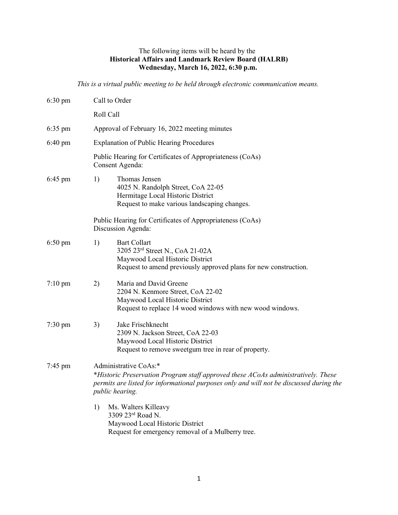## The following items will be heard by the **Historical Affairs and Landmark Review Board (HALRB) Wednesday, March 16, 2022, 6:30 p.m.**

*This is a virtual public meeting to be held through electronic communication means.*

| $6:30 \text{ pm}$ | Call to Order                                                                                                                                                                                                            |
|-------------------|--------------------------------------------------------------------------------------------------------------------------------------------------------------------------------------------------------------------------|
|                   | Roll Call                                                                                                                                                                                                                |
| $6:35 \text{ pm}$ | Approval of February 16, 2022 meeting minutes                                                                                                                                                                            |
| 6:40 pm           | <b>Explanation of Public Hearing Procedures</b>                                                                                                                                                                          |
|                   | Public Hearing for Certificates of Appropriateness (CoAs)<br>Consent Agenda:                                                                                                                                             |
| $6:45$ pm         | 1)<br>Thomas Jensen<br>4025 N. Randolph Street, CoA 22-05<br>Hermitage Local Historic District<br>Request to make various landscaping changes.                                                                           |
|                   | Public Hearing for Certificates of Appropriateness (CoAs)<br>Discussion Agenda:                                                                                                                                          |
| $6:50 \text{ pm}$ | <b>Bart Collart</b><br>1)<br>3205 23rd Street N., CoA 21-02A<br>Maywood Local Historic District<br>Request to amend previously approved plans for new construction.                                                      |
| $7:10 \text{ pm}$ | Maria and David Greene<br>2)<br>2204 N. Kenmore Street, CoA 22-02<br>Maywood Local Historic District<br>Request to replace 14 wood windows with new wood windows.                                                        |
| $7:30 \text{ pm}$ | Jake Frischknecht<br>3)<br>2309 N. Jackson Street, CoA 22-03<br>Maywood Local Historic District<br>Request to remove sweetgum tree in rear of property.                                                                  |
| $7:45$ pm         | Administrative CoAs:*<br>*Historic Preservation Program staff approved these ACoAs administratively. These<br>permits are listed for informational purposes only and will not be discussed during the<br>public hearing. |
|                   | 1)<br>Ms. Walters Killeavy<br>3309 23rd Road N.<br>Maywood Local Historic District<br>Request for emergency removal of a Mulberry tree.                                                                                  |